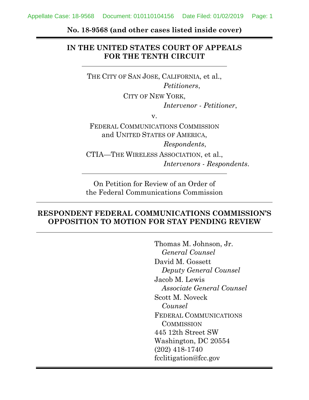**No. 18-9568 (and other cases listed inside cover)**

# **IN THE UNITED STATES COURT OF APPEALS FOR THE TENTH CIRCUIT**

THE CITY OF SAN JOSE, CALIFORNIA, et al., *Petitioners*,

CITY OF NEW YORK,

*Intervenor - Petitioner*,

v.

FEDERAL COMMUNICATIONS COMMISSION and UNITED STATES OF AMERICA, *Respondents*, CTIA—THE WIRELESS ASSOCIATION, et al., *Intervenors - Respondents*.

On Petition for Review of an Order of the Federal Communications Commission

### **RESPONDENT FEDERAL COMMUNICATIONS COMMISSION'S OPPOSITION TO MOTION FOR STAY PENDING REVIEW**

Thomas M. Johnson, Jr. *General Counsel* David M. Gossett *Deputy General Counsel* Jacob M. Lewis *Associate General Counsel* Scott M. Noveck *Counsel* FEDERAL COMMUNICATIONS **COMMISSION** 445 12th Street SW Washington, DC 20554 (202) 418-1740 fcclitigation@fcc.gov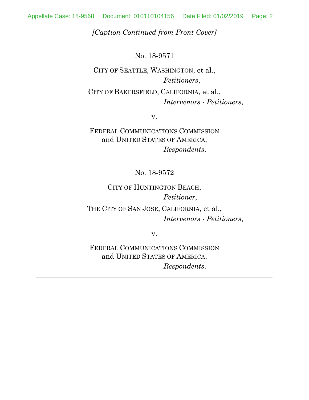*[Caption Continued from Front Cover]*

No. 18-9571

CITY OF SEATTLE, WASHINGTON, et al., *Petitioners*, CITY OF BAKERSFIELD, CALIFORNIA, et al., *Intervenors - Petitioners*,

v.

FEDERAL COMMUNICATIONS COMMISSION and UNITED STATES OF AMERICA, *Respondents*.

No. 18-9572

CITY OF HUNTINGTON BEACH, *Petitioner*, THE CITY OF SAN JOSE, CALIFORNIA, et al., *Intervenors - Petitioners*,

v.

FEDERAL COMMUNICATIONS COMMISSION and UNITED STATES OF AMERICA, *Respondents*.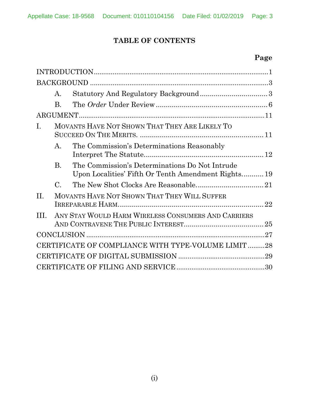# **TABLE OF CONTENTS**

# **Page**

|                                                    | А.             |                                                                                                       |    |
|----------------------------------------------------|----------------|-------------------------------------------------------------------------------------------------------|----|
|                                                    | $\bf{B}$       |                                                                                                       |    |
|                                                    |                |                                                                                                       |    |
| Ι.                                                 |                | MOVANTS HAVE NOT SHOWN THAT THEY ARE LIKELY TO                                                        |    |
|                                                    | $\mathbf{A}$ . | The Commission's Determinations Reasonably                                                            |    |
|                                                    | <b>B.</b>      | The Commission's Determinations Do Not Intrude<br>Upon Localities' Fifth Or Tenth Amendment Rights 19 |    |
|                                                    | $\mathbf C$    |                                                                                                       |    |
| $\Pi$                                              |                | MOVANTS HAVE NOT SHOWN THAT THEY WILL SUFFER                                                          | 22 |
| TH.                                                |                | ANY STAY WOULD HARM WIRELESS CONSUMERS AND CARRIERS                                                   |    |
|                                                    |                |                                                                                                       |    |
| CERTIFICATE OF COMPLIANCE WITH TYPE-VOLUME LIMIT28 |                |                                                                                                       |    |
|                                                    |                |                                                                                                       |    |
|                                                    |                |                                                                                                       |    |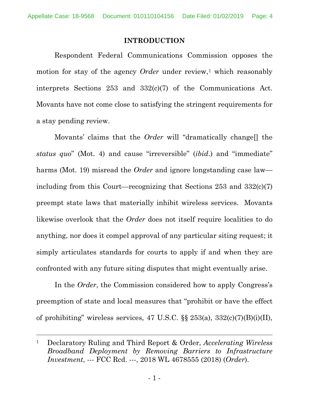#### **INTRODUCTION**

<span id="page-3-0"></span>Respondent Federal Communications Commission opposes the motion for stay of the agency *Order* under review,<sup>[1](#page-3-1)</sup> which reasonably interprets Sections 253 and 332(c)(7) of the Communications Act. Movants have not come close to satisfying the stringent requirements for a stay pending review.

Movants' claims that the *Order* will "dramatically change[] the *status quo*" (Mot. 4) and cause "irreversible" (*ibid*.) and "immediate" harms (Mot. 19) misread the *Order* and ignore longstanding case law including from this Court—recognizing that Sections 253 and 332(c)(7) preempt state laws that materially inhibit wireless services. Movants likewise overlook that the *Order* does not itself require localities to do anything, nor does it compel approval of any particular siting request; it simply articulates standards for courts to apply if and when they are confronted with any future siting disputes that might eventually arise.

In the *Order*, the Commission considered how to apply Congress's preemption of state and local measures that "prohibit or have the effect of prohibiting" wireless services, 47 U.S.C.  $\S$   $253(a)$ ,  $332(c)(7)(B)(i)(II)$ ,

<span id="page-3-1"></span> <sup>1</sup> Declaratory Ruling and Third Report & Order, *Accelerating Wireless Broadband Deployment by Removing Barriers to Infrastructure Investment*, --- FCC Rcd. ---, 2018 WL 4678555 (2018) (*Order*).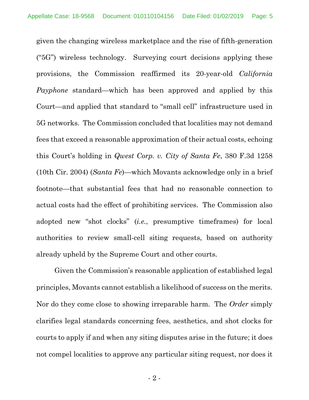given the changing wireless marketplace and the rise of fifth-generation ("5G") wireless technology. Surveying court decisions applying these provisions, the Commission reaffirmed its 20-year-old *California Payphone* standard—which has been approved and applied by this Court—and applied that standard to "small cell" infrastructure used in 5G networks. The Commission concluded that localities may not demand fees that exceed a reasonable approximation of their actual costs, echoing this Court's holding in *Qwest Corp. v. City of Santa Fe*, 380 F.3d 1258 (10th Cir. 2004) (*Santa Fe*)—which Movants acknowledge only in a brief footnote—that substantial fees that had no reasonable connection to actual costs had the effect of prohibiting services. The Commission also adopted new "shot clocks" (*i.e.*, presumptive timeframes) for local authorities to review small-cell siting requests, based on authority already upheld by the Supreme Court and other courts.

Given the Commission's reasonable application of established legal principles, Movants cannot establish a likelihood of success on the merits. Nor do they come close to showing irreparable harm. The *Order* simply clarifies legal standards concerning fees, aesthetics, and shot clocks for courts to apply if and when any siting disputes arise in the future; it does not compel localities to approve any particular siting request, nor does it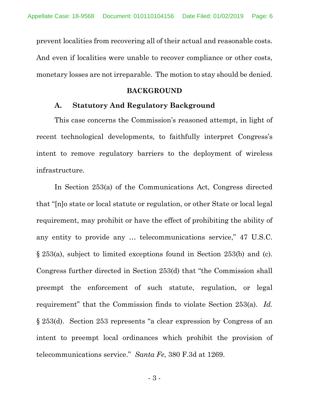prevent localities from recovering all of their actual and reasonable costs. And even if localities were unable to recover compliance or other costs, monetary losses are not irreparable. The motion to stay should be denied.

#### **BACKGROUND**

#### <span id="page-5-0"></span>**A. Statutory And Regulatory Background**

<span id="page-5-1"></span>This case concerns the Commission's reasoned attempt, in light of recent technological developments, to faithfully interpret Congress's intent to remove regulatory barriers to the deployment of wireless infrastructure.

In Section 253(a) of the Communications Act, Congress directed that "[n]o state or local statute or regulation, or other State or local legal requirement, may prohibit or have the effect of prohibiting the ability of any entity to provide any … telecommunications service," 47 U.S.C. § 253(a), subject to limited exceptions found in Section 253(b) and (c). Congress further directed in Section 253(d) that "the Commission shall preempt the enforcement of such statute, regulation, or legal requirement" that the Commission finds to violate Section 253(a). *Id.* § 253(d). Section 253 represents "a clear expression by Congress of an intent to preempt local ordinances which prohibit the provision of telecommunications service." *Santa Fe*, 380 F.3d at 1269.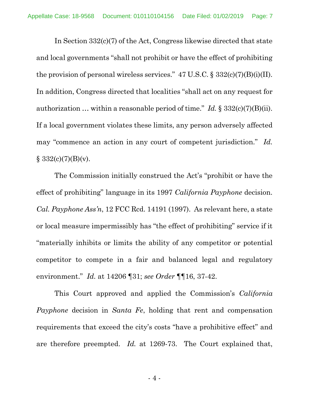In Section 332(c)(7) of the Act, Congress likewise directed that state and local governments "shall not prohibit or have the effect of prohibiting the provision of personal wireless services."  $47 \text{ U.S.C.}$  §  $332\text{ (c)}(7)(\text{B)}\text{ (i)}(\text{II}).$ In addition, Congress directed that localities "shall act on any request for authorization … within a reasonable period of time." *Id.* § 332(c)(7)(B)(ii). If a local government violates these limits, any person adversely affected may "commence an action in any court of competent jurisdiction." *Id.*  $§ 332(c)(7)(B)(v).$ 

The Commission initially construed the Act's "prohibit or have the effect of prohibiting" language in its 1997 *California Payphone* decision. *Cal. Payphone Ass'n*, 12 FCC Rcd. 14191 (1997). As relevant here, a state or local measure impermissibly has "the effect of prohibiting" service if it "materially inhibits or limits the ability of any competitor or potential competitor to compete in a fair and balanced legal and regulatory environment." *Id.* at 14206 ¶31; *see Order* ¶¶16, 37-42.

This Court approved and applied the Commission's *California Payphone* decision in *Santa Fe*, holding that rent and compensation requirements that exceed the city's costs "have a prohibitive effect" and are therefore preempted. *Id.* at 1269-73. The Court explained that,

- 4 -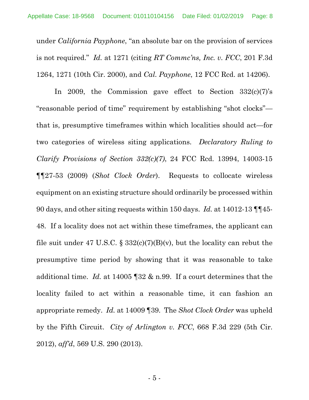under *California Payphone*, "an absolute bar on the provision of services is not required." *Id.* at 1271 (citing *RT Commc'ns, Inc. v. FCC*, 201 F.3d 1264, 1271 (10th Cir. 2000), and *Cal. Payphone*, 12 FCC Rcd. at 14206).

In 2009, the Commission gave effect to Section  $332(c)(7)$ 's "reasonable period of time" requirement by establishing "shot clocks" that is, presumptive timeframes within which localities should act—for two categories of wireless siting applications. *Declaratory Ruling to Clarify Provisions of Section 332(c)(7)*, 24 FCC Rcd. 13994, 14003-15 ¶¶27-53 (2009) (*Shot Clock Order*). Requests to collocate wireless equipment on an existing structure should ordinarily be processed within 90 days, and other siting requests within 150 days. *Id.* at 14012-13 ¶¶45- 48. If a locality does not act within these timeframes, the applicant can file suit under 47 U.S.C.  $\S 332(c)(7)(B)(v)$ , but the locality can rebut the presumptive time period by showing that it was reasonable to take additional time. *Id.* at 14005 ¶32 & n.99. If a court determines that the locality failed to act within a reasonable time, it can fashion an appropriate remedy. *Id.* at 14009 ¶39. The *Shot Clock Order* was upheld by the Fifth Circuit. *City of Arlington v. FCC*, 668 F.3d 229 (5th Cir. 2012), *aff'd*, 569 U.S. 290 (2013).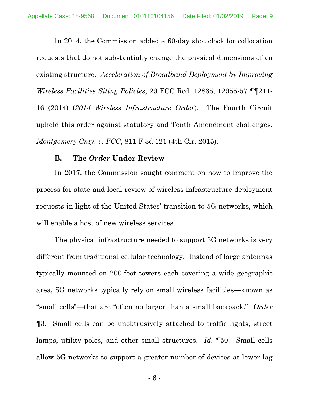In 2014, the Commission added a 60-day shot clock for collocation requests that do not substantially change the physical dimensions of an existing structure. *Acceleration of Broadband Deployment by Improving Wireless Facilities Siting Policies*, 29 FCC Rcd. 12865, 12955-57 ¶¶211- 16 (2014) (*2014 Wireless Infrastructure Order*). The Fourth Circuit upheld this order against statutory and Tenth Amendment challenges. *Montgomery Cnty. v. FCC*, 811 F.3d 121 (4th Cir. 2015).

#### **B. The** *Order* **Under Review**

<span id="page-8-0"></span>In 2017, the Commission sought comment on how to improve the process for state and local review of wireless infrastructure deployment requests in light of the United States' transition to 5G networks, which will enable a host of new wireless services.

The physical infrastructure needed to support 5G networks is very different from traditional cellular technology. Instead of large antennas typically mounted on 200-foot towers each covering a wide geographic area, 5G networks typically rely on small wireless facilities—known as "small cells"—that are "often no larger than a small backpack." *Order* ¶3. Small cells can be unobtrusively attached to traffic lights, street lamps, utility poles, and other small structures. *Id.* ¶50. Small cells allow 5G networks to support a greater number of devices at lower lag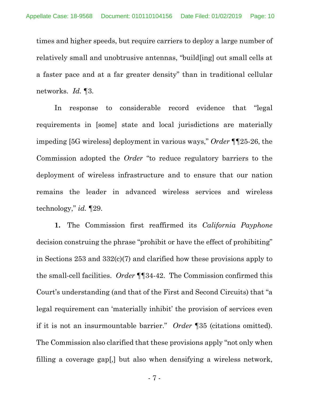times and higher speeds, but require carriers to deploy a large number of relatively small and unobtrusive antennas, "build[ing] out small cells at a faster pace and at a far greater density" than in traditional cellular networks. *Id.* ¶3.

In response to considerable record evidence that "legal requirements in [some] state and local jurisdictions are materially impeding [5G wireless] deployment in various ways," *Order* ¶¶25-26, the Commission adopted the *Order* "to reduce regulatory barriers to the deployment of wireless infrastructure and to ensure that our nation remains the leader in advanced wireless services and wireless technology," *id.* ¶29.

**1.** The Commission first reaffirmed its *California Payphone* decision construing the phrase "prohibit or have the effect of prohibiting" in Sections 253 and 332(c)(7) and clarified how these provisions apply to the small-cell facilities. *Order* ¶¶34-42. The Commission confirmed this Court's understanding (and that of the First and Second Circuits) that "a legal requirement can 'materially inhibit' the provision of services even if it is not an insurmountable barrier." *Order* ¶35 (citations omitted). The Commission also clarified that these provisions apply "not only when filling a coverage gap[,] but also when densifying a wireless network,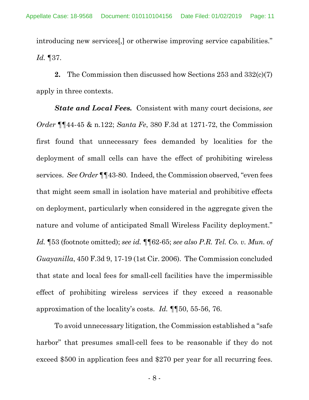introducing new services[,] or otherwise improving service capabilities." *Id.* ¶37.

**2.** The Commission then discussed how Sections 253 and 332(c)(7) apply in three contexts.

*State and Local Fees.* Consistent with many court decisions, *see Order* ¶¶44-45 & n.122; *Santa Fe*, 380 F.3d at 1271-72, the Commission first found that unnecessary fees demanded by localities for the deployment of small cells can have the effect of prohibiting wireless services. *See Order* ¶¶43-80. Indeed, the Commission observed, "even fees that might seem small in isolation have material and prohibitive effects on deployment, particularly when considered in the aggregate given the nature and volume of anticipated Small Wireless Facility deployment." *Id.* ¶53 (footnote omitted); *see id.* ¶¶62-65; *see also P.R. Tel. Co. v. Mun. of Guayanilla*, 450 F.3d 9, 17-19 (1st Cir. 2006). The Commission concluded that state and local fees for small-cell facilities have the impermissible effect of prohibiting wireless services if they exceed a reasonable approximation of the locality's costs. *Id.* ¶¶50, 55-56, 76.

To avoid unnecessary litigation, the Commission established a "safe harbor" that presumes small-cell fees to be reasonable if they do not exceed \$500 in application fees and \$270 per year for all recurring fees.

- 8 -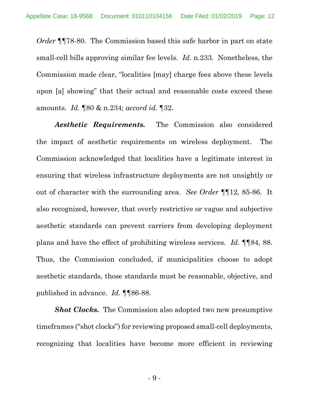*Order* ¶¶78-80. The Commission based this safe harbor in part on state small-cell bills approving similar fee levels. *Id.* n.233. Nonetheless, the Commission made clear, "localities [may] charge fees above these levels upon [a] showing" that their actual and reasonable costs exceed these amounts. *Id.* ¶80 & n.234; *accord id.* ¶32.

*Aesthetic Requirements.* The Commission also considered the impact of aesthetic requirements on wireless deployment. The Commission acknowledged that localities have a legitimate interest in ensuring that wireless infrastructure deployments are not unsightly or out of character with the surrounding area. *See Order* ¶¶12, 85-86. It also recognized, however, that overly restrictive or vague and subjective aesthetic standards can prevent carriers from developing deployment plans and have the effect of prohibiting wireless services. *Id.* ¶¶84, 88. Thus, the Commission concluded, if municipalities choose to adopt aesthetic standards, those standards must be reasonable, objective, and published in advance. *Id.* ¶¶86-88.

*Shot Clocks.* The Commission also adopted two new presumptive timeframes ("shot clocks") for reviewing proposed small-cell deployments, recognizing that localities have become more efficient in reviewing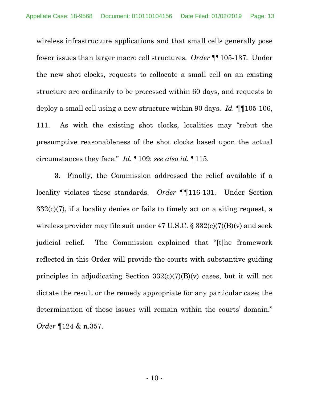wireless infrastructure applications and that small cells generally pose fewer issues than larger macro cell structures. *Order* ¶¶105-137. Under the new shot clocks, requests to collocate a small cell on an existing structure are ordinarily to be processed within 60 days, and requests to deploy a small cell using a new structure within 90 days. *Id.* ¶¶105-106, 111. As with the existing shot clocks, localities may "rebut the presumptive reasonableness of the shot clocks based upon the actual circumstances they face." *Id.* ¶109; *see also id.* ¶115.

**3.** Finally, the Commission addressed the relief available if a locality violates these standards. *Order* ¶¶116-131. Under Section  $332(c)(7)$ , if a locality denies or fails to timely act on a siting request, a wireless provider may file suit under 47 U.S.C.  $\S 332(c)(7)(B)(v)$  and seek judicial relief. The Commission explained that "[t]he framework reflected in this Order will provide the courts with substantive guiding principles in adjudicating Section 332(c)(7)(B)(v) cases, but it will not dictate the result or the remedy appropriate for any particular case; the determination of those issues will remain within the courts' domain." *Order* ¶124 & n.357.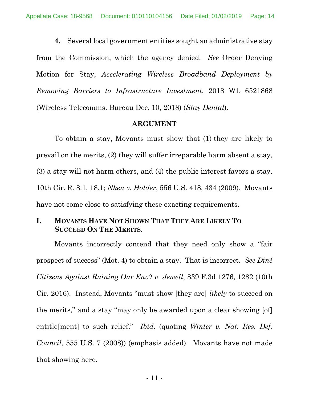**4.** Several local government entities sought an administrative stay from the Commission, which the agency denied. *See* Order Denying Motion for Stay, *Accelerating Wireless Broadband Deployment by Removing Barriers to Infrastructure Investment*, 2018 WL 6521868 (Wireless Telecomms. Bureau Dec. 10, 2018) (*Stay Denial*).

#### **ARGUMENT**

<span id="page-13-0"></span>To obtain a stay, Movants must show that (1) they are likely to prevail on the merits, (2) they will suffer irreparable harm absent a stay, (3) a stay will not harm others, and (4) the public interest favors a stay. 10th Cir. R. 8.1, 18.1; *Nken v. Holder*, 556 U.S. 418, 434 (2009). Movants have not come close to satisfying these exacting requirements.

## <span id="page-13-1"></span>**I. MOVANTS HAVE NOT SHOWN THAT THEY ARE LIKELY TO SUCCEED ON THE MERITS.**

Movants incorrectly contend that they need only show a "fair prospect of success" (Mot. 4) to obtain a stay. That is incorrect. *See Diné Citizens Against Ruining Our Env't v. Jewell*, 839 F.3d 1276, 1282 (10th Cir. 2016). Instead, Movants "must show [they are] *likely* to succeed on the merits," and a stay "may only be awarded upon a clear showing [of] entitle[ment] to such relief." *Ibid.* (quoting *Winter v. Nat. Res. Def. Council*, 555 U.S. 7 (2008)) (emphasis added). Movants have not made that showing here.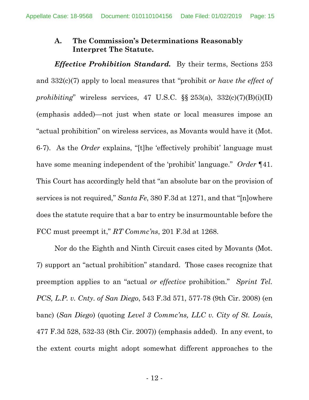# <span id="page-14-0"></span>**A. The Commission's Determinations Reasonably Interpret The Statute.**

*Effective Prohibition Standard.* By their terms, Sections 253 and 332(c)(7) apply to local measures that "prohibit *or have the effect of prohibiting*" wireless services, 47 U.S.C. §§ 253(a), 332(c)(7)(B)(i)(II) (emphasis added)—not just when state or local measures impose an "actual prohibition" on wireless services, as Movants would have it (Mot. 6-7). As the *Order* explains, "[t]he 'effectively prohibit' language must have some meaning independent of the 'prohibit' language." *Order* ¶41. This Court has accordingly held that "an absolute bar on the provision of services is not required," *Santa Fe*, 380 F.3d at 1271, and that "[n]owhere does the statute require that a bar to entry be insurmountable before the FCC must preempt it," *RT Commc'ns*, 201 F.3d at 1268.

Nor do the Eighth and Ninth Circuit cases cited by Movants (Mot. 7) support an "actual prohibition" standard. Those cases recognize that preemption applies to an "actual *or effective* prohibition." *Sprint Tel. PCS, L.P. v. Cnty. of San Diego*, 543 F.3d 571, 577-78 (9th Cir. 2008) (en banc) (*San Diego*) (quoting *Level 3 Commc'ns, LLC v. City of St. Louis*, 477 F.3d 528, 532-33 (8th Cir. 2007)) (emphasis added). In any event, to the extent courts might adopt somewhat different approaches to the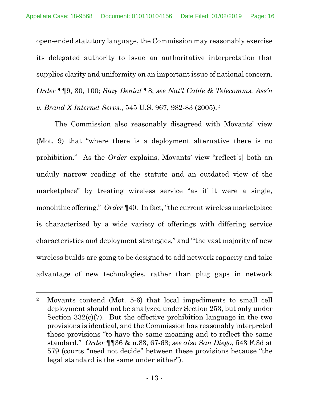open-ended statutory language, the Commission may reasonably exercise its delegated authority to issue an authoritative interpretation that supplies clarity and uniformity on an important issue of national concern. *Order* ¶¶9, 30, 100; *Stay Denial* ¶8; *see Nat'l Cable & Telecomms. Ass'n v. Brand X Internet Servs.*, 545 U.S. 967, 982-83 (2005).[2](#page-15-0)

The Commission also reasonably disagreed with Movants' view (Mot. 9) that "where there is a deployment alternative there is no prohibition." As the *Order* explains, Movants' view "reflect[s] both an unduly narrow reading of the statute and an outdated view of the marketplace" by treating wireless service "as if it were a single, monolithic offering." *Order* ¶40. In fact, "the current wireless marketplace is characterized by a wide variety of offerings with differing service characteristics and deployment strategies," and "'the vast majority of new wireless builds are going to be designed to add network capacity and take advantage of new technologies, rather than plug gaps in network

<span id="page-15-0"></span> <sup>2</sup> Movants contend (Mot. 5-6) that local impediments to small cell deployment should not be analyzed under Section 253, but only under Section  $332(c)(7)$ . But the effective prohibition language in the two provisions is identical, and the Commission has reasonably interpreted these provisions "to have the same meaning and to reflect the same standard." *Order* ¶¶36 & n.83, 67-68; *see also San Diego*, 543 F.3d at 579 (courts "need not decide" between these provisions because "the legal standard is the same under either").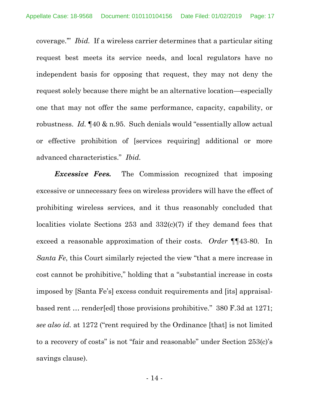coverage.'" *Ibid.* If a wireless carrier determines that a particular siting request best meets its service needs, and local regulators have no independent basis for opposing that request, they may not deny the request solely because there might be an alternative location—especially one that may not offer the same performance, capacity, capability, or robustness. *Id.* ¶40 & n.95. Such denials would "essentially allow actual or effective prohibition of [services requiring] additional or more advanced characteristics." *Ibid.*

*Excessive Fees.* The Commission recognized that imposing excessive or unnecessary fees on wireless providers will have the effect of prohibiting wireless services, and it thus reasonably concluded that localities violate Sections 253 and 332(c)(7) if they demand fees that exceed a reasonable approximation of their costs. *Order* ¶¶43-80. In *Santa Fe*, this Court similarly rejected the view "that a mere increase in cost cannot be prohibitive," holding that a "substantial increase in costs imposed by [Santa Fe's] excess conduit requirements and [its] appraisalbased rent … render[ed] those provisions prohibitive." 380 F.3d at 1271; *see also id.* at 1272 ("rent required by the Ordinance [that] is not limited to a recovery of costs" is not "fair and reasonable" under Section 253(c)'s savings clause).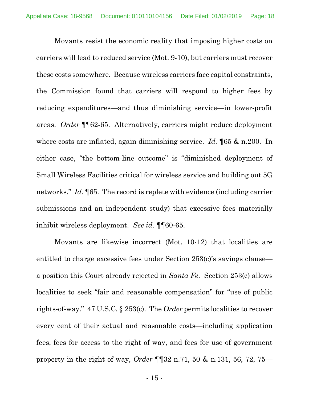Movants resist the economic reality that imposing higher costs on carriers will lead to reduced service (Mot. 9-10), but carriers must recover these costs somewhere. Because wireless carriers face capital constraints, the Commission found that carriers will respond to higher fees by reducing expenditures—and thus diminishing service—in lower-profit areas. *Order* ¶¶62-65. Alternatively, carriers might reduce deployment where costs are inflated, again diminishing service. *Id.* ¶65 & n.200. In either case, "the bottom-line outcome" is "diminished deployment of Small Wireless Facilities critical for wireless service and building out 5G networks." *Id.* ¶65. The record is replete with evidence (including carrier submissions and an independent study) that excessive fees materially inhibit wireless deployment. *See id.* ¶¶60-65.

Movants are likewise incorrect (Mot. 10-12) that localities are entitled to charge excessive fees under Section 253(c)'s savings clause a position this Court already rejected in *Santa Fe*. Section 253(c) allows localities to seek "fair and reasonable compensation" for "use of public rights-of-way." 47 U.S.C. § 253(c). The *Order* permits localities to recover every cent of their actual and reasonable costs—including application fees, fees for access to the right of way, and fees for use of government property in the right of way, *Order* ¶¶32 n.71, 50 & n.131, 56, 72, 75—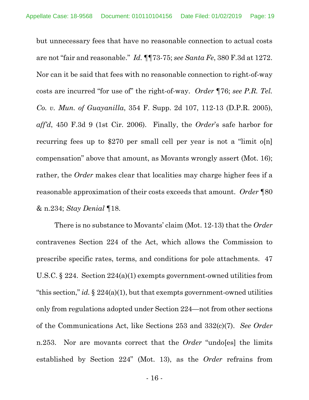but unnecessary fees that have no reasonable connection to actual costs are not "fair and reasonable." *Id.* ¶¶73-75; *see Santa Fe*, 380 F.3d at 1272. Nor can it be said that fees with no reasonable connection to right-of-way costs are incurred "for use of" the right-of-way. *Order* ¶76; *see P.R. Tel. Co. v. Mun. of Guayanilla*, 354 F. Supp. 2d 107, 112-13 (D.P.R. 2005), *aff'd*, 450 F.3d 9 (1st Cir. 2006). Finally, the *Order*'s safe harbor for recurring fees up to \$270 per small cell per year is not a "limit o[n] compensation" above that amount, as Movants wrongly assert (Mot. 16); rather, the *Order* makes clear that localities may charge higher fees if a reasonable approximation of their costs exceeds that amount. *Order* ¶80 & n.234; *Stay Denial* ¶18.

There is no substance to Movants' claim (Mot. 12-13) that the *Order* contravenes Section 224 of the Act, which allows the Commission to prescribe specific rates, terms, and conditions for pole attachments. 47 U.S.C. § 224. Section 224(a)(1) exempts government-owned utilities from "this section," *id.*  $\S$  224(a)(1), but that exempts government-owned utilities only from regulations adopted under Section 224—not from other sections of the Communications Act, like Sections 253 and 332(c)(7). *See Order* n.253. Nor are movants correct that the *Order* "undo[es] the limits established by Section 224" (Mot. 13), as the *Order* refrains from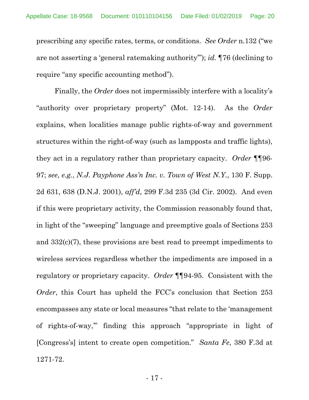prescribing any specific rates, terms, or conditions. *See Order* n.132 ("we are not asserting a 'general ratemaking authority'"); *id.* ¶76 (declining to require "any specific accounting method").

Finally, the *Order* does not impermissibly interfere with a locality's "authority over proprietary property" (Mot. 12-14). As the *Order* explains, when localities manage public rights-of-way and government structures within the right-of-way (such as lampposts and traffic lights), they act in a regulatory rather than proprietary capacity. *Order* ¶¶96- 97; *see*, *e.g.*, *N.J. Payphone Ass'n Inc. v. Town of West N.Y.*, 130 F. Supp. 2d 631, 638 (D.N.J. 2001), *aff'd*, 299 F.3d 235 (3d Cir. 2002). And even if this were proprietary activity, the Commission reasonably found that, in light of the "sweeping" language and preemptive goals of Sections 253 and 332(c)(7), these provisions are best read to preempt impediments to wireless services regardless whether the impediments are imposed in a regulatory or proprietary capacity. *Order* ¶¶94-95. Consistent with the *Order*, this Court has upheld the FCC's conclusion that Section 253 encompasses any state or local measures "that relate to the 'management of rights-of-way,'" finding this approach "appropriate in light of [Congress's] intent to create open competition." *Santa Fe*, 380 F.3d at 1271-72.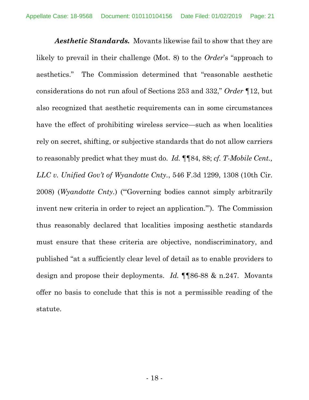*Aesthetic Standards.* Movants likewise fail to show that they are likely to prevail in their challenge (Mot. 8) to the *Order*'s "approach to aesthetics." The Commission determined that "reasonable aesthetic considerations do not run afoul of Sections 253 and 332," *Order* ¶12, but also recognized that aesthetic requirements can in some circumstances have the effect of prohibiting wireless service—such as when localities rely on secret, shifting, or subjective standards that do not allow carriers to reasonably predict what they must do. *Id.* ¶¶84, 88; *cf. T-Mobile Cent., LLC v. Unified Gov't of Wyandotte Cnty.*, 546 F.3d 1299, 1308 (10th Cir. 2008) (*Wyandotte Cnty.*) ("'Governing bodies cannot simply arbitrarily invent new criteria in order to reject an application.'"). The Commission thus reasonably declared that localities imposing aesthetic standards must ensure that these criteria are objective, nondiscriminatory, and published "at a sufficiently clear level of detail as to enable providers to design and propose their deployments. *Id.* ¶¶86-88 & n.247. Movants offer no basis to conclude that this is not a permissible reading of the statute.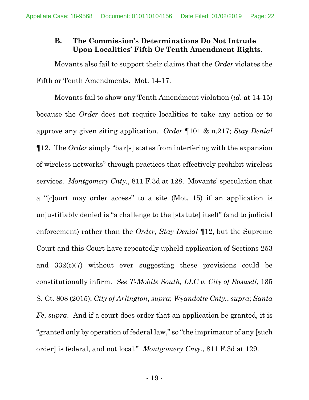# <span id="page-21-0"></span>**B. The Commission's Determinations Do Not Intrude Upon Localities' Fifth Or Tenth Amendment Rights.**

Movants also fail to support their claims that the *Order* violates the Fifth or Tenth Amendments. Mot. 14-17.

Movants fail to show any Tenth Amendment violation (*id*. at 14-15) because the *Order* does not require localities to take any action or to approve any given siting application. *Order* ¶101 & n.217; *Stay Denial* ¶12. The *Order* simply "bar[s] states from interfering with the expansion of wireless networks" through practices that effectively prohibit wireless services. *Montgomery Cnty.*, 811 F.3d at 128. Movants' speculation that a "[c]ourt may order access" to a site (Mot. 15) if an application is unjustifiably denied is "a challenge to the [statute] itself" (and to judicial enforcement) rather than the *Order*, *Stay Denial* ¶12, but the Supreme Court and this Court have repeatedly upheld application of Sections 253 and 332(c)(7) without ever suggesting these provisions could be constitutionally infirm. *See T-Mobile South, LLC v. City of Roswell*, 135 S. Ct. 808 (2015); *City of Arlington*, *supra*; *Wyandotte Cnty.*, *supra*; *Santa Fe*, *supra*. And if a court does order that an application be granted, it is "granted only by operation of federal law," so "the imprimatur of any [such order] is federal, and not local." *Montgomery Cnty.*, 811 F.3d at 129.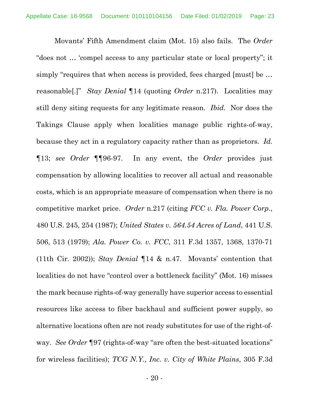Movants' Fifth Amendment claim (Mot. 15) also fails. The *Order* "does not … 'compel access to any particular state or local property"; it simply "requires that when access is provided, fees charged [must] be ... reasonable[.]" *Stay Denial* ¶14 (quoting *Order* n.217). Localities may still deny siting requests for any legitimate reason. *Ibid.* Nor does the Takings Clause apply when localities manage public rights-of-way, because they act in a regulatory capacity rather than as proprietors. *Id.* ¶13; *see Order* ¶¶96-97. In any event, the *Order* provides just compensation by allowing localities to recover all actual and reasonable costs, which is an appropriate measure of compensation when there is no competitive market price. *Order* n.217 (citing *FCC v. Fla. Power Corp.*, 480 U.S. 245, 254 (1987); *United States v. 564.54 Acres of Land*, 441 U.S. 506, 513 (1979); *Ala. Power Co. v. FCC*, 311 F.3d 1357, 1368, 1370-71 (11th Cir. 2002)); *Stay Denial* ¶14 & n.47. Movants' contention that localities do not have "control over a bottleneck facility" (Mot. 16) misses the mark because rights-of-way generally have superior access to essential resources like access to fiber backhaul and sufficient power supply, so alternative locations often are not ready substitutes for use of the right-ofway. *See Order* ¶97 (rights-of-way "are often the best-situated locations" for wireless facilities); *TCG N.Y., Inc. v. City of White Plains*, 305 F.3d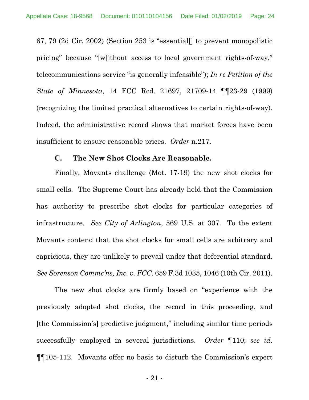67, 79 (2d Cir. 2002) (Section 253 is "essential[] to prevent monopolistic pricing" because "[w]ithout access to local government rights-of-way," telecommunications service "is generally infeasible"); *In re Petition of the State of Minnesota*, 14 FCC Rcd. 21697, 21709-14 ¶¶23-29 (1999) (recognizing the limited practical alternatives to certain rights-of-way). Indeed, the administrative record shows that market forces have been insufficient to ensure reasonable prices. *Order* n.217.

#### **C. The New Shot Clocks Are Reasonable.**

<span id="page-23-0"></span>Finally, Movants challenge (Mot. 17-19) the new shot clocks for small cells. The Supreme Court has already held that the Commission has authority to prescribe shot clocks for particular categories of infrastructure. *See City of Arlington*, 569 U.S. at 307. To the extent Movants contend that the shot clocks for small cells are arbitrary and capricious, they are unlikely to prevail under that deferential standard. *See Sorenson Commc'ns, Inc. v. FCC*, 659 F.3d 1035, 1046 (10th Cir. 2011).

The new shot clocks are firmly based on "experience with the previously adopted shot clocks, the record in this proceeding, and [the Commission's] predictive judgment," including similar time periods successfully employed in several jurisdictions. *Order* ¶110; *see id.* ¶¶105-112. Movants offer no basis to disturb the Commission's expert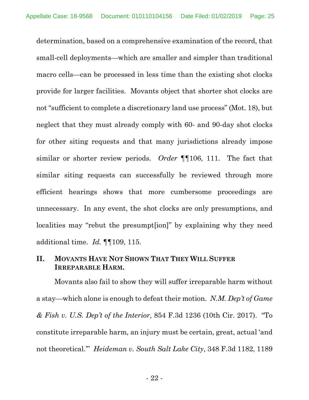determination, based on a comprehensive examination of the record, that small-cell deployments—which are smaller and simpler than traditional macro cells—can be processed in less time than the existing shot clocks provide for larger facilities. Movants object that shorter shot clocks are not "sufficient to complete a discretionary land use process" (Mot. 18), but neglect that they must already comply with 60- and 90-day shot clocks for other siting requests and that many jurisdictions already impose similar or shorter review periods. *Order* ¶¶106, 111. The fact that similar siting requests can successfully be reviewed through more efficient hearings shows that more cumbersome proceedings are unnecessary. In any event, the shot clocks are only presumptions, and localities may "rebut the presumpt[ion]" by explaining why they need additional time. *Id.* ¶¶109, 115.

# <span id="page-24-0"></span>**II. MOVANTS HAVE NOT SHOWN THAT THEY WILL SUFFER IRREPARABLE HARM.**

Movants also fail to show they will suffer irreparable harm without a stay—which alone is enough to defeat their motion. *N.M. Dep't of Game & Fish v. U.S. Dep't of the Interior*, 854 F.3d 1236 (10th Cir. 2017). "To constitute irreparable harm, an injury must be certain, great, actual 'and not theoretical.'" *Heideman v. South Salt Lake City*, 348 F.3d 1182, 1189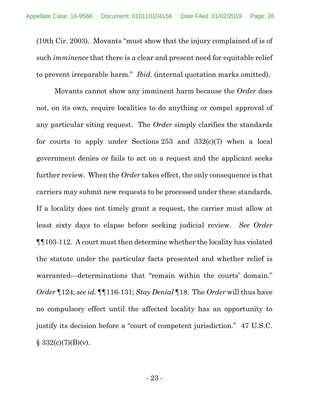(10th Cir. 2003). Movants "must show that the injury complained of is of such *imminence* that there is a clear and present need for equitable relief to prevent irreparable harm." *Ibid.* (internal quotation marks omitted).

Movants cannot show any imminent harm because the *Order* does not, on its own, require localities to do anything or compel approval of any particular siting request. The *Order* simply clarifies the standards for courts to apply under Sections 253 and 332(c)(7) when a local government denies or fails to act on a request and the applicant seeks further review. When the *Order* takes effect, the only consequence is that carriers may submit new requests to be processed under these standards. If a locality does not timely grant a request, the carrier must allow at least sixty days to elapse before seeking judicial review. *See Order* ¶¶103-112. A court must then determine whether the locality has violated the statute under the particular facts presented and whether relief is warranted—determinations that "remain within the courts' domain." *Order* ¶124; *see id.* ¶¶116-131; *Stay Denial* ¶18. The *Order* will thus have no compulsory effect until the affected locality has an opportunity to justify its decision before a "court of competent jurisdiction." 47 U.S.C.  $§ 332(c)(7)(B)(v).$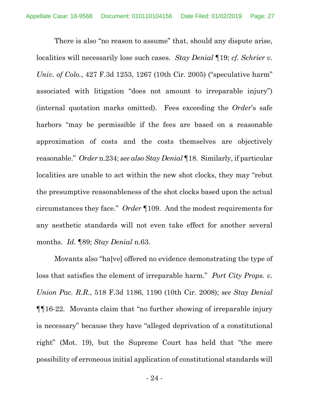There is also "no reason to assume" that, should any dispute arise, localities will necessarily lose such cases. *Stay Denial* ¶19; *cf. Schrier v. Univ. of Colo.*, 427 F.3d 1253, 1267 (10th Cir. 2005) ("speculative harm" associated with litigation "does not amount to irreparable injury") (internal quotation marks omitted). Fees exceeding the *Order*'s safe harbors "may be permissible if the fees are based on a reasonable approximation of costs and the costs themselves are objectively reasonable." *Order* n.234; *see also Stay Denial* ¶18. Similarly, if particular localities are unable to act within the new shot clocks, they may "rebut the presumptive reasonableness of the shot clocks based upon the actual circumstances they face." *Order* ¶109. And the modest requirements for any aesthetic standards will not even take effect for another several months. *Id.* ¶89; *Stay Denial* n.63.

Movants also "ha[ve] offered no evidence demonstrating the type of loss that satisfies the element of irreparable harm." *Port City Props. v. Union Pac. R.R.*, 518 F.3d 1186, 1190 (10th Cir. 2008); *see Stay Denial* ¶¶16-22. Movants claim that "no further showing of irreparable injury is necessary" because they have "alleged deprivation of a constitutional right" (Mot. 19), but the Supreme Court has held that "the mere possibility of erroneous initial application of constitutional standards will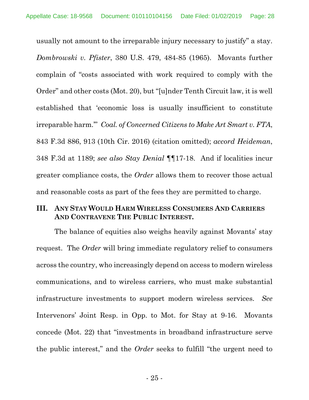usually not amount to the irreparable injury necessary to justify" a stay. *Dombrowski v. Pfister*, 380 U.S. 479, 484-85 (1965). Movants further complain of "costs associated with work required to comply with the Order" and other costs (Mot. 20), but "[u]nder Tenth Circuit law, it is well established that 'economic loss is usually insufficient to constitute irreparable harm.'" *Coal. of Concerned Citizens to Make Art Smart v. FTA*, 843 F.3d 886, 913 (10th Cir. 2016) (citation omitted); *accord Heideman*, 348 F.3d at 1189; *see also Stay Denial* ¶¶17-18. And if localities incur greater compliance costs, the *Order* allows them to recover those actual and reasonable costs as part of the fees they are permitted to charge.

### <span id="page-27-0"></span>**III. ANY STAY WOULD HARM WIRELESS CONSUMERS AND CARRIERS AND CONTRAVENE THE PUBLIC INTEREST.**

The balance of equities also weighs heavily against Movants' stay request. The *Order* will bring immediate regulatory relief to consumers across the country, who increasingly depend on access to modern wireless communications, and to wireless carriers, who must make substantial infrastructure investments to support modern wireless services. *See* Intervenors' Joint Resp. in Opp. to Mot. for Stay at 9-16. Movants concede (Mot. 22) that "investments in broadband infrastructure serve the public interest," and the *Order* seeks to fulfill "the urgent need to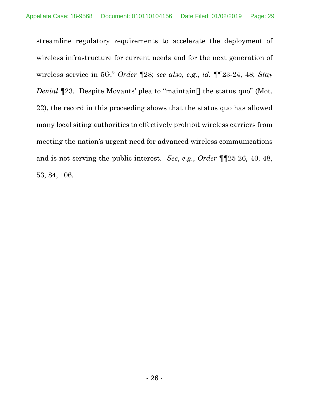streamline regulatory requirements to accelerate the deployment of wireless infrastructure for current needs and for the next generation of wireless service in 5G," *Order* ¶28; *see also*, *e.g.*, *id.* ¶¶23-24, 48; *Stay Denial*  $\P$ 23. Despite Movants' plea to "maintain<sup>[]</sup> the status quo" (Mot. 22), the record in this proceeding shows that the status quo has allowed many local siting authorities to effectively prohibit wireless carriers from meeting the nation's urgent need for advanced wireless communications and is not serving the public interest. *See*, *e.g.*, *Order* ¶¶25-26, 40, 48, 53, 84, 106.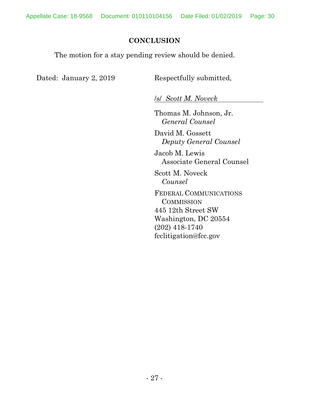### **CONCLUSION**

<span id="page-29-0"></span>The motion for a stay pending review should be denied.

Dated: January 2, 2019 Respectfully submitted,

/s/ *Scott M. Noveck*

Thomas M. Johnson, Jr. *General Counsel*

David M. Gossett *Deputy General Counsel*

Jacob M. Lewis Associate General Counsel

Scott M. Noveck *Counsel*

FEDERAL COMMUNICATIONS **COMMISSION** 445 12th Street SW Washington, DC 20554 (202) 418-1740 fcclitigation@fcc.gov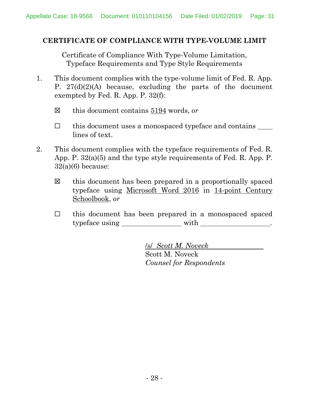### <span id="page-30-0"></span>**CERTIFICATE OF COMPLIANCE WITH TYPE-VOLUME LIMIT**

Certificate of Compliance With Type-Volume Limitation, Typeface Requirements and Type Style Requirements

- 1. This document complies with the type-volume limit of Fed. R. App. P.  $27(d)(2)(A)$  because, excluding the parts of the document exempted by Fed. R. App. P. 32(f):
	- ☒ this document contains 5194 words, *or*
	- ☐ this document uses a monospaced typeface and contains lines of text.
- 2. This document complies with the typeface requirements of Fed. R. App. P. 32(a)(5) and the type style requirements of Fed. R. App. P.  $32(a)(6)$  because:
	- ☒ this document has been prepared in a proportionally spaced typeface using Microsoft Word 2016 in 14-point Century Schoolbook, *or*
	- ☐ this document has been prepared in a monospaced spaced typeface using \_\_\_\_\_\_\_\_\_\_\_\_\_\_\_ with \_\_\_\_\_\_\_\_\_\_\_\_\_\_\_\_.

/s/ *Scott M. Noveck* Scott M. Noveck *Counsel for Respondents*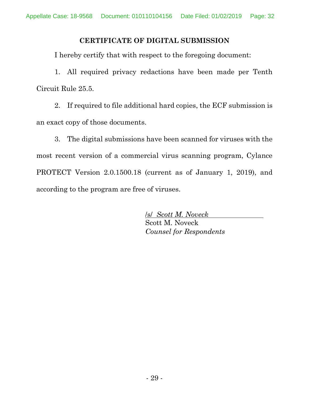### **CERTIFICATE OF DIGITAL SUBMISSION**

<span id="page-31-0"></span>I hereby certify that with respect to the foregoing document:

1. All required privacy redactions have been made per Tenth Circuit Rule 25.5.

2. If required to file additional hard copies, the ECF submission is an exact copy of those documents.

3. The digital submissions have been scanned for viruses with the most recent version of a commercial virus scanning program, Cylance PROTECT Version 2.0.1500.18 (current as of January 1, 2019), and according to the program are free of viruses.

> /s/ *Scott M. Noveck* Scott M. Noveck *Counsel for Respondents*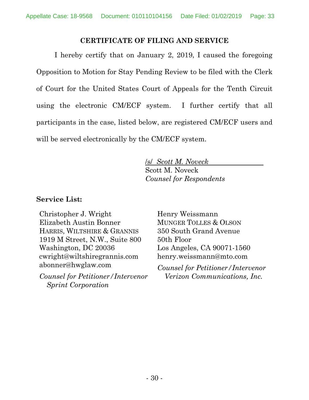### **CERTIFICATE OF FILING AND SERVICE**

<span id="page-32-0"></span>I hereby certify that on January 2, 2019, I caused the foregoing Opposition to Motion for Stay Pending Review to be filed with the Clerk of Court for the United States Court of Appeals for the Tenth Circuit using the electronic CM/ECF system. I further certify that all participants in the case, listed below, are registered CM/ECF users and will be served electronically by the CM/ECF system.

> /s/ *Scott M. Noveck* Scott M. Noveck *Counsel for Respondents*

### **Service List:**

Christopher J. Wright Elizabeth Austin Bonner HARRIS, WILTSHIRE & GRANNIS 1919 M Street, N.W., Suite 800 Washington, DC 20036 cwright@wiltshiregrannis.com abonner@hwglaw.com

*Counsel for Petitioner/Intervenor Sprint Corporation*

Henry Weissmann MUNGER TOLLES & OLSON 350 South Grand Avenue 50th Floor Los Angeles, CA 90071-1560 henry.weissmann@mto.com

*Counsel for Petitioner/Intervenor Verizon Communications, Inc.*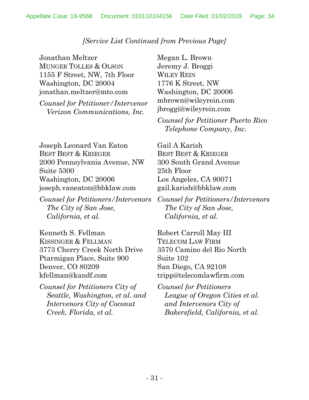## *[Service List Continued from Previous Page]*

Jonathan Meltzer MUNGER TOLLES & OLSON 1155 F Street, NW, 7th Floor Washington, DC 20004 jonathan.meltzer@mto.com

*Counsel for Petitioner/Intervenor Verizon Communications, Inc.*

Joseph Leonard Van Eaton BEST BEST & KRIEGER 2000 Pennsylvania Avenue, NW Suite 5300 Washington, DC 20006 joseph.vaneaton@bbklaw.com

*Counsel for Petitioners/Intervenors The City of San Jose, California, et al.*

Kenneth S. Fellman KISSINGER & FELLMAN 3773 Cherry Creek North Drive Ptarmigan Place, Suite 900 Denver, CO 80209 kfellman@kandf.com

*Counsel for Petitioners City of Seattle, Washington, et al. and Intervenors City of Coconut Creek, Florida, et al.*

Megan L. Brown Jeremy J. Broggi WILEY REIN 1776 K Street, NW Washington, DC 20006 mbrown@wileyrein.com jbroggi@wileyrein.com

*Counsel for Petitioner Puerto Rico Telephone Company, Inc.*

Gail A Karish BEST BEST & KRIEGER 300 South Grand Avenue 25th Floor Los Angeles, CA 90071 gail.karish@bbklaw.com

*Counsel for Petitioners/Intervenors The City of San Jose, California, et al.*

Robert Carroll May III TELECOM LAW FIRM 3570 Camino del Rio North Suite 102 San Diego, CA 92108 tripp@telecomlawfirm.com

*Counsel for Petitioners League of Oregon Cities et al. and Intervenors City of Bakersfield, California, et al.*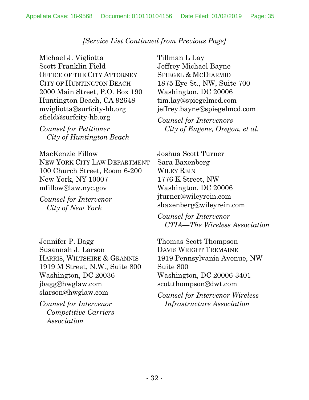# *[Service List Continued from Previous Page]*

Michael J. Vigliotta Scott Franklin Field OFFICE OF THE CITY ATTORNEY CITY OF HUNTINGTON BEACH 2000 Main Street, P.O. Box 190 Huntington Beach, CA 92648 mvigliotta@surfcity-hb.org sfield@surfcity-hb.org

*Counsel for Petitioner City of Huntington Beach*

MacKenzie Fillow NEW YORK CITY LAW DEPARTMENT 100 Church Street, Room 6-200 New York, NY 10007 mfillow@law.nyc.gov

*Counsel for Intervenor City of New York*

Jennifer P. Bagg Susannah J. Larson HARRIS, WILTSHIRE & GRANNIS 1919 M Street, N.W., Suite 800 Washington, DC 20036 jbagg@hwglaw.com slarson@hwglaw.com

*Counsel for Intervenor Competitive Carriers Association*

Tillman L Lay Jeffrey Michael Bayne SPIEGEL & MCDIARMID 1875 Eye St., NW, Suite 700 Washington, DC 20006 tim.lay@spiegelmcd.com jeffrey.bayne@spiegelmcd.com

*Counsel for Intervenors City of Eugene, Oregon, et al.*

Joshua Scott Turner Sara Baxenberg WILEY REIN 1776 K Street, NW Washington, DC 20006 jturner@wileyrein.com sbaxenberg@wileyrein.com

*Counsel for Intervenor CTIA—The Wireless Association*

Thomas Scott Thompson DAVIS WRIGHT TREMAINE 1919 Pennsylvania Avenue, NW Suite 800 Washington, DC 20006-3401 scottthompson@dwt.com

*Counsel for Intervenor Wireless Infrastructure Association*